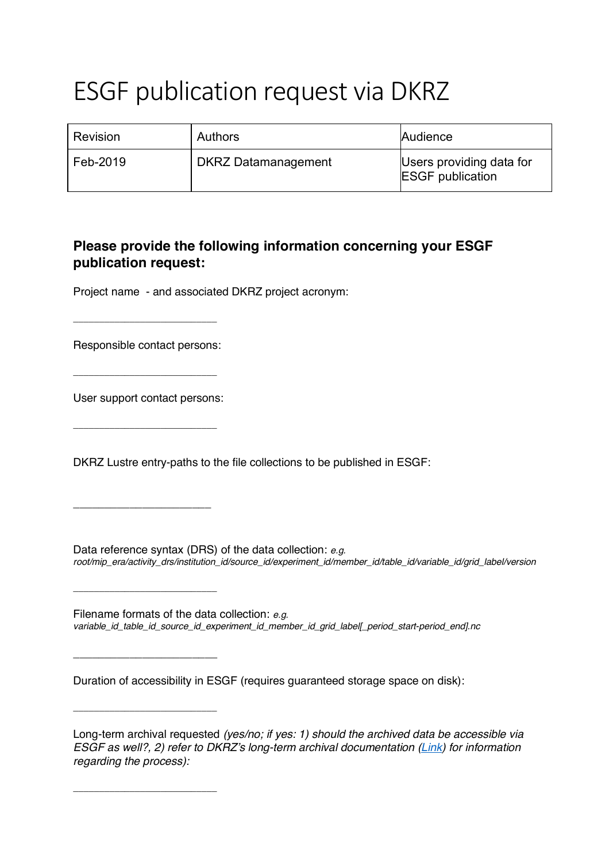## ESGF publication request via DKRZ

| Revision | <b>Authors</b>             | Audience                                            |
|----------|----------------------------|-----------------------------------------------------|
| Feb-2019 | <b>DKRZ Datamanagement</b> | Users providing data for<br><b>ESGF</b> publication |

## **Please provide the following information concerning your ESGF publication request:**

Project name - and associated DKRZ project acronym:

Responsible contact persons:

\_\_\_\_\_\_\_\_\_\_\_\_\_\_\_\_\_\_\_\_\_\_\_\_\_\_\_\_

\_\_\_\_\_\_\_\_\_\_\_\_\_\_\_\_\_\_\_\_\_\_\_\_\_\_\_\_

User support contact persons:

\_\_\_\_\_\_\_\_\_\_\_\_\_\_\_\_\_\_\_\_\_\_\_\_\_\_\_\_

\_\_\_\_\_\_\_\_\_\_\_\_\_\_\_\_\_\_\_\_\_\_

\_\_\_\_\_\_\_\_\_\_\_\_\_\_\_\_\_\_\_\_\_\_\_\_\_\_\_\_

\_\_\_\_\_\_\_\_\_\_\_\_\_\_\_\_\_\_\_\_\_\_\_

\_\_\_\_\_\_\_\_\_\_\_\_\_\_\_\_\_\_\_\_\_\_\_\_\_\_\_\_

\_\_\_\_\_\_\_\_\_\_\_\_\_\_\_\_\_\_\_\_\_\_\_\_\_\_\_\_

DKRZ Lustre entry-paths to the file collections to be published in ESGF:

Data reference syntax (DRS) of the data collection: *e.g. root/mip\_era/activity\_drs/institution\_id/source\_id/experiment\_id/member\_id/table\_id/variable\_id/grid\_label/version*

Filename formats of the data collection: *e.g. variable\_id\_table\_id\_source\_id\_experiment\_id\_member\_id\_grid\_label[\_period\_start-period\_end].nc*

Duration of accessibility in ESGF (requires guaranteed storage space on disk):

Long-term archival requested *(yes/no; if yes: 1) should the archived data be accessible via ESGF as well?, 2) refer to DKRZ's long-term archival documentation (Link) for information regarding the process):*